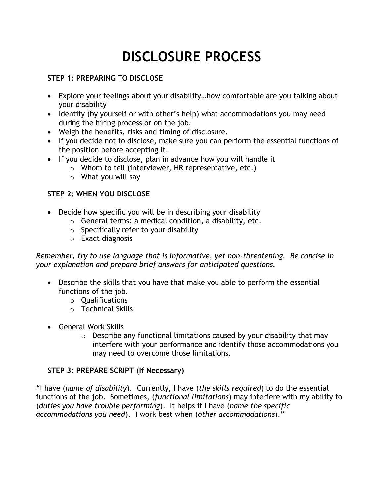# **DISCLOSURE PROCESS**

#### **STEP 1: PREPARING TO DISCLOSE**

- Explore your feelings about your disability…how comfortable are you talking about your disability
- Identify (by yourself or with other's help) what accommodations you may need during the hiring process or on the job.
- Weigh the benefits, risks and timing of disclosure.
- If you decide not to disclose, make sure you can perform the essential functions of the position before accepting it.
- If you decide to disclose, plan in advance how you will handle it
	- o Whom to tell (interviewer, HR representative, etc.)
	- $\circ$  What you will say

### **STEP 2: WHEN YOU DISCLOSE**

- Decide how specific you will be in describing your disability
	- o General terms: a medical condition, a disability, etc.
	- $\circ$  Specifically refer to your disability
	- o Exact diagnosis

*Remember, try to use language that is informative, yet non-threatening. Be concise in your explanation and prepare brief answers for anticipated questions.*

- Describe the skills that you have that make you able to perform the essential functions of the job.
	- o Qualifications
	- o Technical Skills
- General Work Skills
	- $\circ$  Describe any functional limitations caused by your disability that may interfere with your performance and identify those accommodations you may need to overcome those limitations.

#### **STEP 3: PREPARE SCRIPT (If Necessary)**

"I have (*name of disability*). Currently, I have (*the skills required*) to do the essential functions of the job. Sometimes, (*functional limitations*) may interfere with my ability to (*duties you have trouble performing*). It helps if I have (*name the specific accommodations you need*). I work best when (*other accommodations*)."